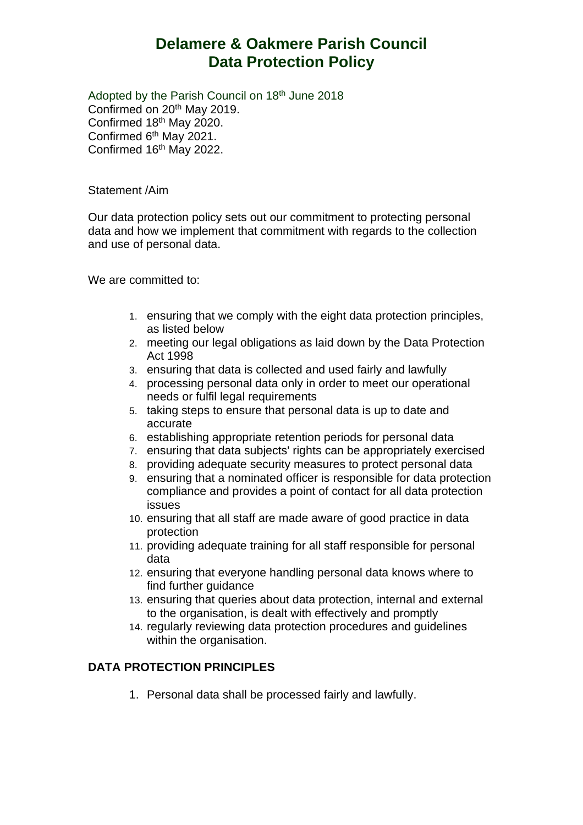## **Delamere & Oakmere Parish Council Data Protection Policy**

Adopted by the Parish Council on 18<sup>th</sup> June 2018 Confirmed on 20<sup>th</sup> May 2019. Confirmed 18th May 2020. Confirmed 6th May 2021. Confirmed 16<sup>th</sup> May 2022.

Statement /Aim

Our data protection policy sets out our commitment to protecting personal data and how we implement that commitment with regards to the collection and use of personal data.

We are committed to:

- 1. ensuring that we comply with the eight data protection principles, as listed below
- 2. meeting our legal obligations as laid down by the Data Protection Act 1998
- 3. ensuring that data is collected and used fairly and lawfully
- 4. processing personal data only in order to meet our operational needs or fulfil legal requirements
- 5. taking steps to ensure that personal data is up to date and accurate
- 6. establishing appropriate retention periods for personal data
- 7. ensuring that data subjects' rights can be appropriately exercised
- 8. providing adequate security measures to protect personal data
- 9. ensuring that a nominated officer is responsible for data protection compliance and provides a point of contact for all data protection issues
- 10. ensuring that all staff are made aware of good practice in data protection
- 11. providing adequate training for all staff responsible for personal data
- 12. ensuring that everyone handling personal data knows where to find further guidance
- 13. ensuring that queries about data protection, internal and external to the organisation, is dealt with effectively and promptly
- 14. regularly reviewing data protection procedures and guidelines within the organisation.

## **DATA PROTECTION PRINCIPLES**

1. Personal data shall be processed fairly and lawfully.